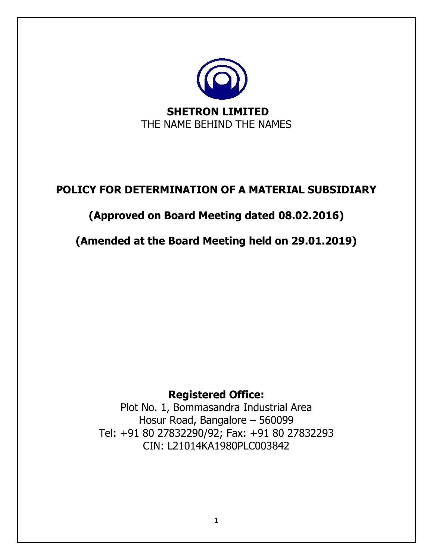

## **POLICY FOR DETERMINATION OF A MATERIAL SUBSIDIARY**

# **(Approved on Board Meeting dated 08.02.2016)**

## **(Amended at the Board Meeting held on 29.01.2019)**

### **Registered Office:**

Plot No. 1, Bommasandra Industrial Area Hosur Road, Bangalore – 560099 Tel: +91 80 27832290/92; Fax: +91 80 27832293 CIN: L21014KA1980PLC003842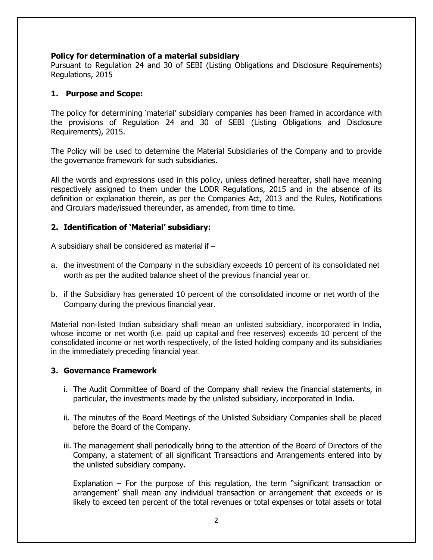#### **Policy for determination of a material subsidiary**

Pursuant to Regulation 24 and 30 of SEBI (Listing Obligations and Disclosure Requirements) Regulations, 2015

#### **1. Purpose and Scope:**

The policy for determining 'material' subsidiary companies has been framed in accordance with the provisions of Regulation 24 and 30 of SEBI (Listing Obligations and Disclosure Requirements), 2015.

The Policy will be used to determine the Material Subsidiaries of the Company and to provide the governance framework for such subsidiaries.

All the words and expressions used in this policy, unless defined hereafter, shall have meaning respectively assigned to them under the LODR Regulations, 2015 and in the absence of its definition or explanation therein, as per the Companies Act, 2013 and the Rules, Notifications and Circulars made/issued thereunder, as amended, from time to time.

#### **2. Identification of 'Material' subsidiary:**

A subsidiary shall be considered as material if –

- a. the investment of the Company in the subsidiary exceeds 10 percent of its consolidated net worth as per the audited balance sheet of the previous financial year or,
- b. if the Subsidiary has generated 10 percent of the consolidated income or net worth of the Company during the previous financial year.

Material non-listed Indian subsidiary shall mean an unlisted subsidiary, incorporated in India, whose income or net worth (i.e. paid up capital and free reserves) exceeds 10 percent of the consolidated income or net worth respectively, of the listed holding company and its subsidiaries in the immediately preceding financial year.

#### **3. Governance Framework**

- i. The Audit Committee of Board of the Company shall review the financial statements, in particular, the investments made by the unlisted subsidiary, incorporated in India.
- ii. The minutes of the Board Meetings of the Unlisted Subsidiary Companies shall be placed before the Board of the Company.
- iii. The management shall periodically bring to the attention of the Board of Directors of the Company, a statement of all significant Transactions and Arrangements entered into by the unlisted subsidiary company.

Explanation – For the purpose of this regulation, the term "significant transaction or arrangement' shall mean any individual transaction or arrangement that exceeds or is likely to exceed ten percent of the total revenues or total expenses or total assets or total